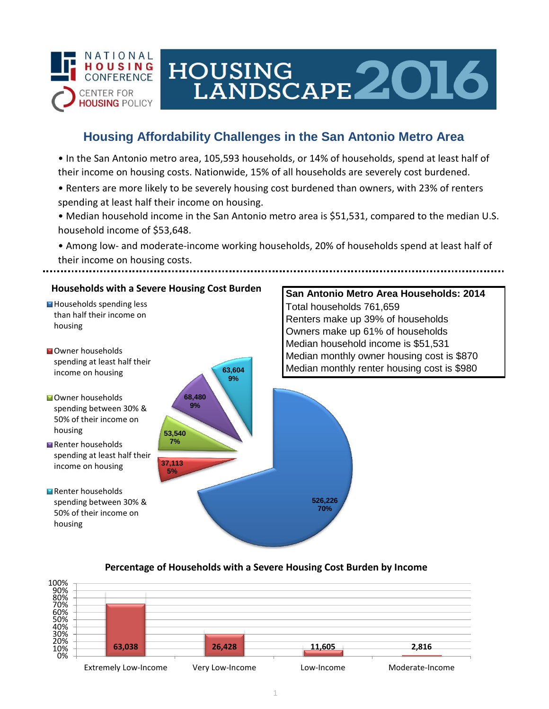

# HOUSING<br>LANDSCAPE 2016

## **Housing Affordability Challenges in the San Antonio Metro Area**

• In the San Antonio metro area, 105,593 households, or 14% of households, spend at least half of their income on housing costs. Nationwide, 15% of all households are severely cost burdened.

- Renters are more likely to be severely housing cost burdened than owners, with 23% of renters spending at least half their income on housing.
- Median household income in the San Antonio metro area is \$51,531, compared to the median U.S. household income of \$53,648.
- Among low- and moderate-income working households, 20% of households spend at least half of their income on housing costs.

## **Households with a Severe Housing Cost Burden**

- Households spending less than half their income on housing
- **N**Owner households spending at least half their income on housing
- **Owner households** spending between 30% & 50% of their income on housing
- Renter households spending at least half their income on housing
- Renter households spending between 30% & 50% of their income on housing



## **San Antonio Metro Area Households: 2014** Total households 761,659 Renters make up 39% of households Owners make up 61% of households Median household income is \$51,531 Median monthly owner housing cost is \$870 Median monthly renter housing cost is \$980

## **Percentage of Households with a Severe Housing Cost Burden by Income**